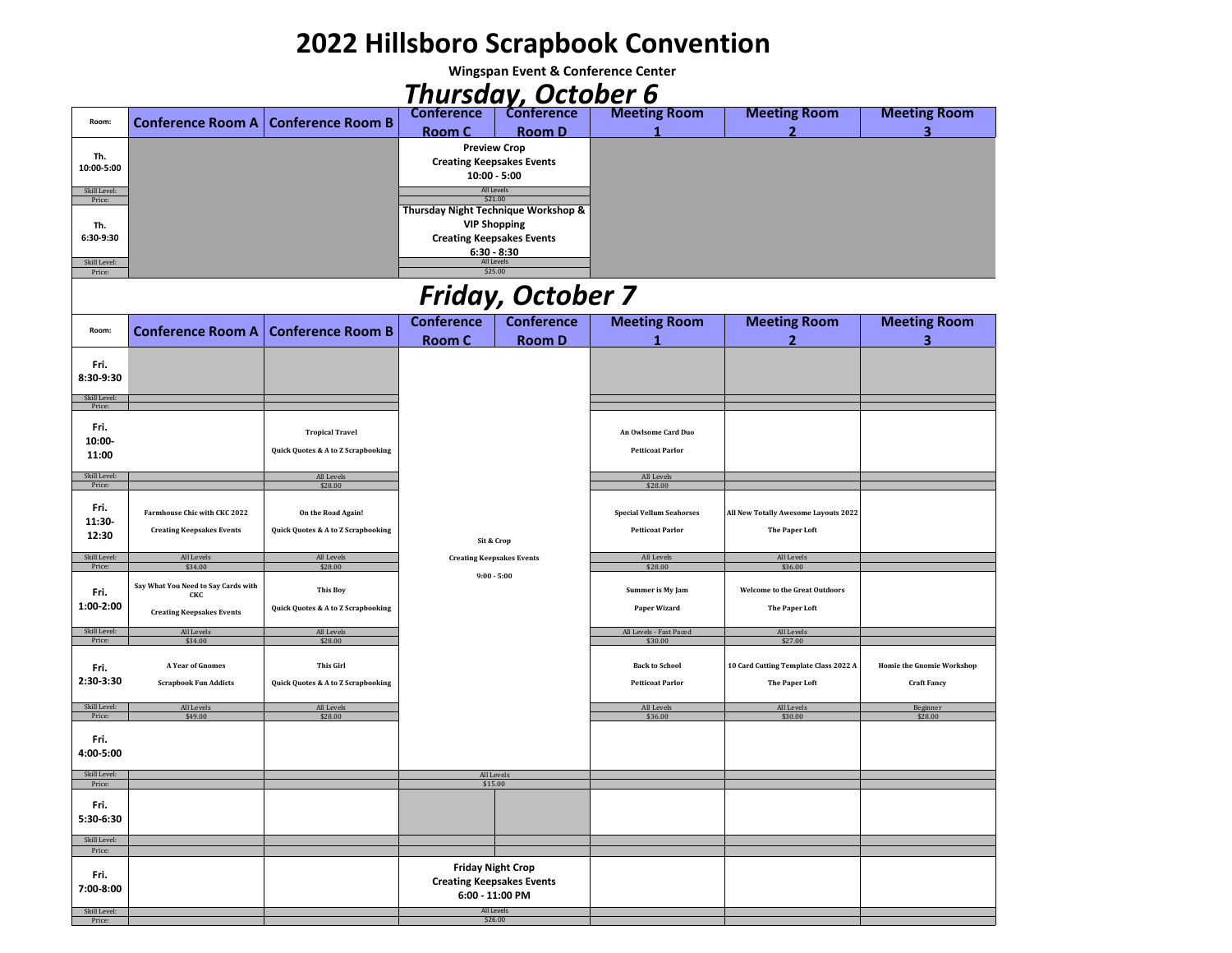## **2022 Hillsboro Scrapbook Convention**

**Wingspan Event & Conference Center**

## *Thursday, October 6*

| Room:                  |  | Conference Room A   Conference Room B | <b>Conference</b>                                       | <b>Conference</b> | <b>Meeting Room</b> | <b>Meeting Room</b> | <b>Meeting Room</b> |
|------------------------|--|---------------------------------------|---------------------------------------------------------|-------------------|---------------------|---------------------|---------------------|
|                        |  |                                       | Room C                                                  | <b>Room D</b>     |                     |                     |                     |
|                        |  |                                       | <b>Preview Crop</b>                                     |                   |                     |                     |                     |
| Th.                    |  |                                       | <b>Creating Keepsakes Events</b>                        |                   |                     |                     |                     |
| 10:00-5:00             |  |                                       | $10:00 - 5:00$                                          |                   |                     |                     |                     |
|                        |  |                                       |                                                         |                   |                     |                     |                     |
| Skill Level:<br>Price: |  |                                       | All Levels<br>\$21.00                                   |                   |                     |                     |                     |
|                        |  |                                       | Thursday Night Technique Workshop &                     |                   |                     |                     |                     |
| Th.                    |  |                                       | <b>VIP Shopping</b><br><b>Creating Keepsakes Events</b> |                   |                     |                     |                     |
| 6:30-9:30              |  |                                       |                                                         |                   |                     |                     |                     |
|                        |  |                                       | $6:30 - 8:30$                                           |                   |                     |                     |                     |
| Skill Level:           |  |                                       | All Levels                                              |                   |                     |                     |                     |
| Price:                 |  |                                       | \$25.00                                                 |                   |                     |                     |                     |

## *Friday, October 7*

|                                   |                                                                                |                                                              | ----                                                                            |                       |                                                            |                                                                |                                                        |
|-----------------------------------|--------------------------------------------------------------------------------|--------------------------------------------------------------|---------------------------------------------------------------------------------|-----------------------|------------------------------------------------------------|----------------------------------------------------------------|--------------------------------------------------------|
| Room:                             |                                                                                | Conference Room A   Conference Room B                        | <b>Conference</b>                                                               | <b>Conference</b>     | <b>Meeting Room</b>                                        | <b>Meeting Room</b>                                            | <b>Meeting Room</b>                                    |
|                                   |                                                                                |                                                              | <b>Room C</b>                                                                   | <b>Room D</b>         |                                                            | $\overline{2}$                                                 | 3                                                      |
| Fri.<br>8:30-9:30<br>Skill Level: |                                                                                |                                                              |                                                                                 |                       |                                                            |                                                                |                                                        |
| Price:                            |                                                                                |                                                              |                                                                                 |                       |                                                            |                                                                |                                                        |
| Fri.<br>10:00-<br>11:00           |                                                                                | <b>Tropical Travel</b><br>Quick Quotes & A to Z Scrapbooking |                                                                                 |                       | An Owlsome Card Duo<br><b>Petticoat Parlor</b>             |                                                                |                                                        |
| Skill Level:                      |                                                                                | All Levels                                                   | Sit & Crop<br><b>Creating Keepsakes Events</b>                                  |                       | All Levels                                                 |                                                                |                                                        |
| Price:                            |                                                                                | \$28.00                                                      |                                                                                 |                       | \$28.00                                                    |                                                                |                                                        |
| Fri.<br>11:30-<br>12:30           | Farmhouse Chic with CKC 2022<br><b>Creating Keepsakes Events</b>               | On the Road Again!<br>Quick Quotes & A to Z Scrapbooking     |                                                                                 |                       | <b>Special Vellum Seahorses</b><br><b>Petticoat Parlor</b> | All New Totally Awesome Layouts 2022<br><b>The Paper Loft</b>  |                                                        |
| Skill Level:                      | All Levels                                                                     | All Levels                                                   |                                                                                 |                       | All Levels                                                 | All Levels                                                     |                                                        |
| Price:                            | \$34.00                                                                        | \$28.00                                                      |                                                                                 |                       | \$28.00                                                    | \$36.00                                                        |                                                        |
| Fri.<br>1:00-2:00                 | Say What You Need to Say Cards with<br>скс<br><b>Creating Keepsakes Events</b> | <b>This Boy</b><br>Quick Quotes & A to Z Scrapbooking        | $9:00 - 5:00$                                                                   |                       | Summer is My Jam<br>Paper Wizard                           | <b>Welcome to the Great Outdoors</b><br>The Paper Loft         |                                                        |
| Skill Level:                      | All Levels                                                                     | All Levels                                                   |                                                                                 |                       | All Levels - Fast Paced                                    | All Levels                                                     |                                                        |
| Price:                            | \$34.00                                                                        | \$28.00                                                      |                                                                                 |                       | \$30.00                                                    | \$27.00                                                        |                                                        |
| Fri.<br>2:30-3:30                 | <b>A Year of Gnomes</b><br><b>Scrapbook Fun Addicts</b>                        | <b>This Girl</b><br>Quick Quotes & A to Z Scrapbooking       |                                                                                 |                       | <b>Back to School</b><br><b>Petticoat Parlor</b>           | 10 Card Cutting Template Class 2022 A<br><b>The Paper Loft</b> | <b>Homie the Gnomie Workshop</b><br><b>Craft Fancy</b> |
| Skill Level:                      | All Levels                                                                     | All Levels                                                   |                                                                                 |                       | All Levels                                                 | All Levels                                                     | Beginner                                               |
| Price:                            | \$49.00                                                                        | \$28.00                                                      |                                                                                 |                       | \$36.00                                                    | \$30.00                                                        | \$28.00                                                |
| Fri.<br>4:00-5:00                 |                                                                                |                                                              |                                                                                 |                       |                                                            |                                                                |                                                        |
| Skill Level:                      |                                                                                |                                                              |                                                                                 | All Levels<br>\$15.00 |                                                            |                                                                |                                                        |
| Price:<br>Fri.                    |                                                                                |                                                              |                                                                                 |                       |                                                            |                                                                |                                                        |
| 5:30-6:30                         |                                                                                |                                                              |                                                                                 |                       |                                                            |                                                                |                                                        |
| Skill Level:                      |                                                                                |                                                              |                                                                                 |                       |                                                            |                                                                |                                                        |
| Price:<br>Fri.<br>7:00-8:00       |                                                                                |                                                              | <b>Friday Night Crop</b><br><b>Creating Keepsakes Events</b><br>6:00 - 11:00 PM |                       |                                                            |                                                                |                                                        |
| Skill Level:                      |                                                                                |                                                              |                                                                                 | All Levels            |                                                            |                                                                |                                                        |
| Price:                            |                                                                                |                                                              |                                                                                 | \$26.00               |                                                            |                                                                |                                                        |